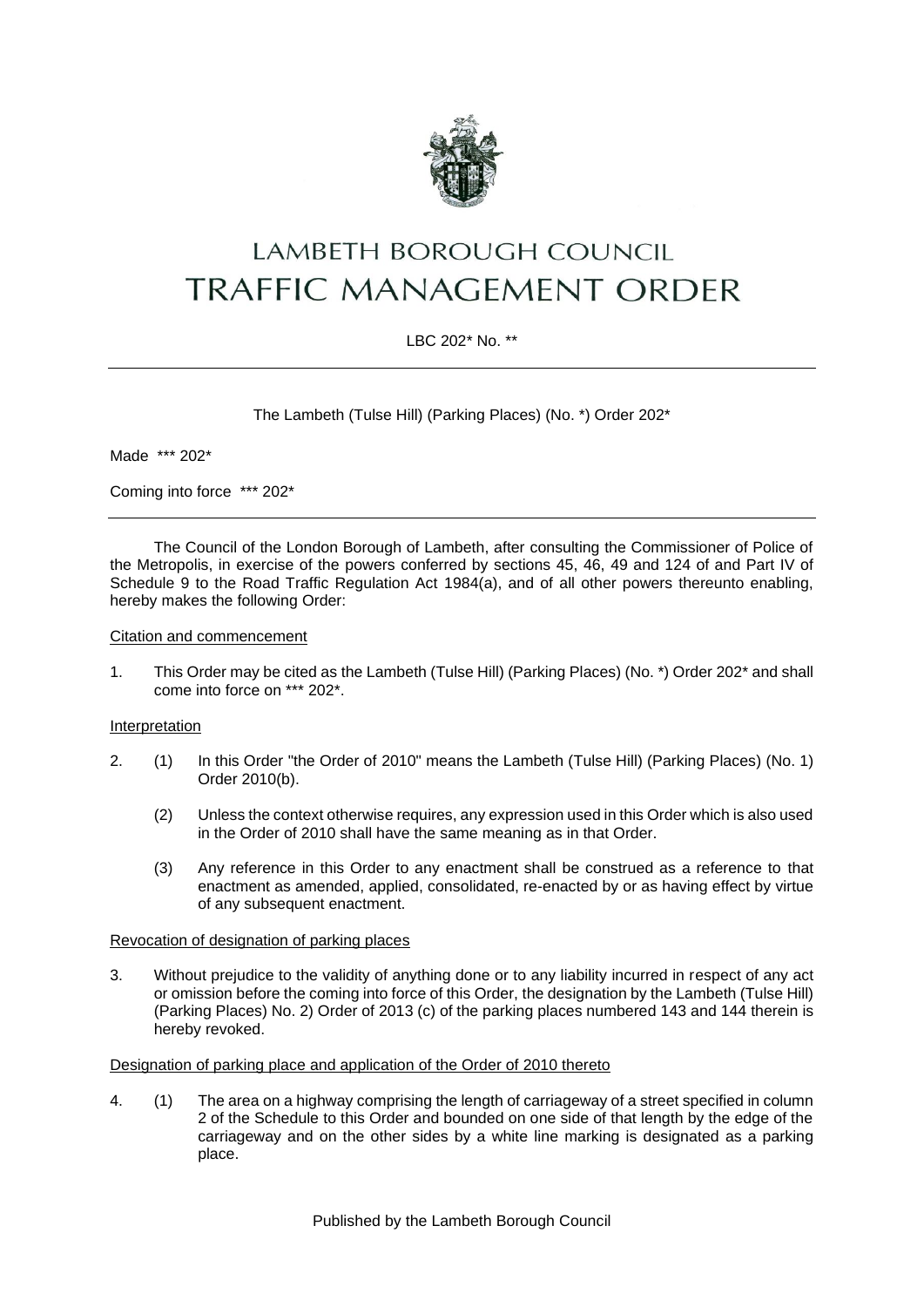

# LAMBETH BOROUGH COUNCIL **TRAFFIC MANAGEMENT ORDER**

## LBC 202\* No. \*\*

The Lambeth (Tulse Hill) (Parking Places) (No. \*) Order 202\*

Made \*\*\* 202\*

Coming into force \*\*\* 202\*

The Council of the London Borough of Lambeth, after consulting the Commissioner of Police of the Metropolis, in exercise of the powers conferred by sections 45, 46, 49 and 124 of and Part IV of Schedule 9 to the Road Traffic Regulation Act 1984(a), and of all other powers thereunto enabling, hereby makes the following Order:

#### Citation and commencement

1. This Order may be cited as the Lambeth (Tulse Hill) (Parking Places) (No. \*) Order 202\* and shall come into force on \*\*\* 202\*.

#### Interpretation

- 2. (1) In this Order "the Order of 2010" means the Lambeth (Tulse Hill) (Parking Places) (No. 1) Order 2010(b).
	- (2) Unless the context otherwise requires, any expression used in this Order which is also used in the Order of 2010 shall have the same meaning as in that Order.
	- (3) Any reference in this Order to any enactment shall be construed as a reference to that enactment as amended, applied, consolidated, re-enacted by or as having effect by virtue of any subsequent enactment.

#### Revocation of designation of parking places

3. Without prejudice to the validity of anything done or to any liability incurred in respect of any act or omission before the coming into force of this Order, the designation by the Lambeth (Tulse Hill) (Parking Places) No. 2) Order of 2013 (c) of the parking places numbered 143 and 144 therein is hereby revoked.

#### Designation of parking place and application of the Order of 2010 thereto

4. (1) The area on a highway comprising the length of carriageway of a street specified in column 2 of the Schedule to this Order and bounded on one side of that length by the edge of the carriageway and on the other sides by a white line marking is designated as a parking place.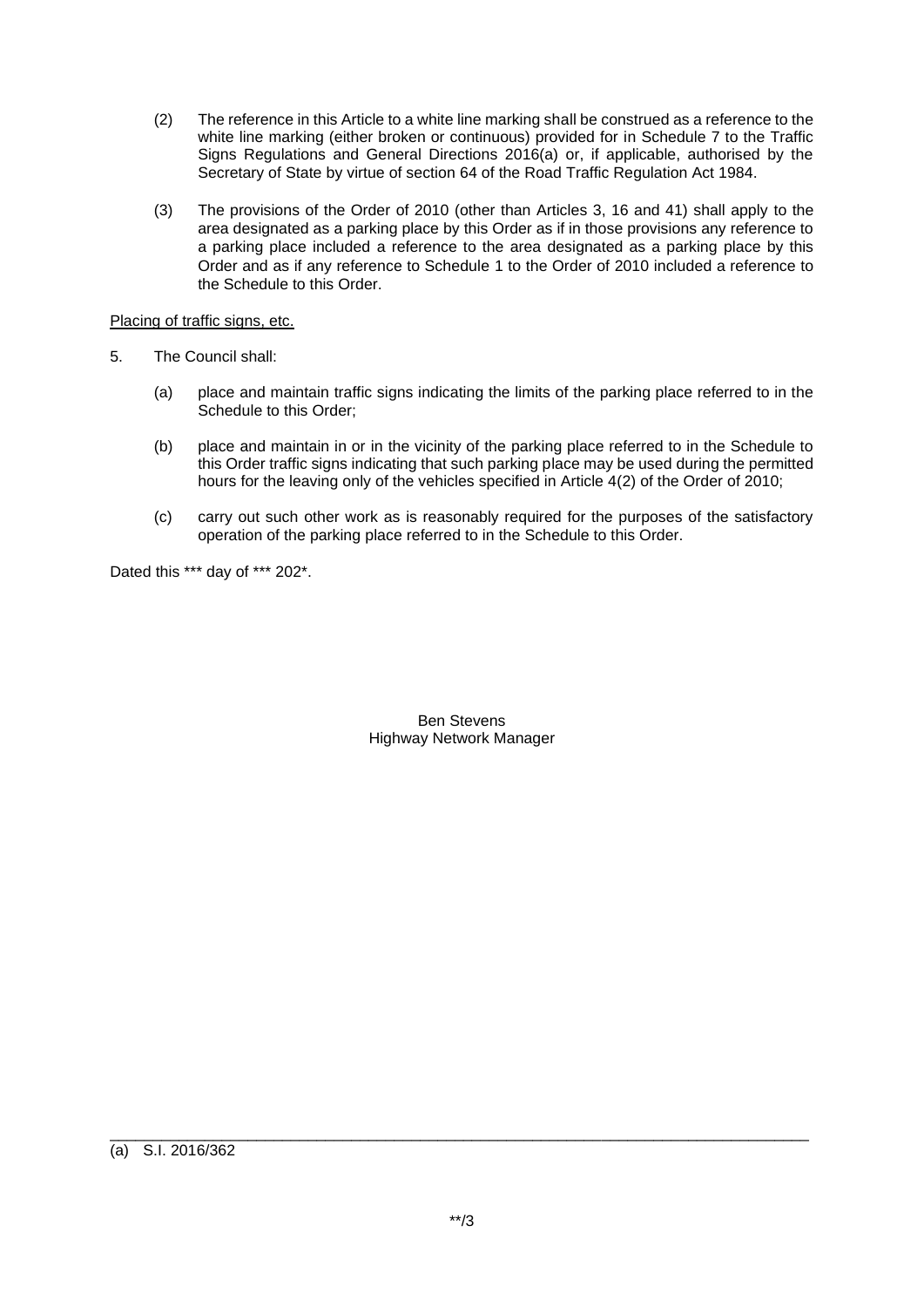- (2) The reference in this Article to a white line marking shall be construed as a reference to the white line marking (either broken or continuous) provided for in Schedule 7 to the Traffic Signs Regulations and General Directions 2016(a) or, if applicable, authorised by the Secretary of State by virtue of section 64 of the Road Traffic Regulation Act 1984.
- (3) The provisions of the Order of 2010 (other than Articles 3, 16 and 41) shall apply to the area designated as a parking place by this Order as if in those provisions any reference to a parking place included a reference to the area designated as a parking place by this Order and as if any reference to Schedule 1 to the Order of 2010 included a reference to the Schedule to this Order.

## Placing of traffic signs, etc.

- 5. The Council shall:
	- (a) place and maintain traffic signs indicating the limits of the parking place referred to in the Schedule to this Order;
	- (b) place and maintain in or in the vicinity of the parking place referred to in the Schedule to this Order traffic signs indicating that such parking place may be used during the permitted hours for the leaving only of the vehicles specified in Article 4(2) of the Order of 2010;
	- (c) carry out such other work as is reasonably required for the purposes of the satisfactory operation of the parking place referred to in the Schedule to this Order.

Dated this \*\*\* day of \*\*\* 202\*.

Ben Stevens Highway Network Manager